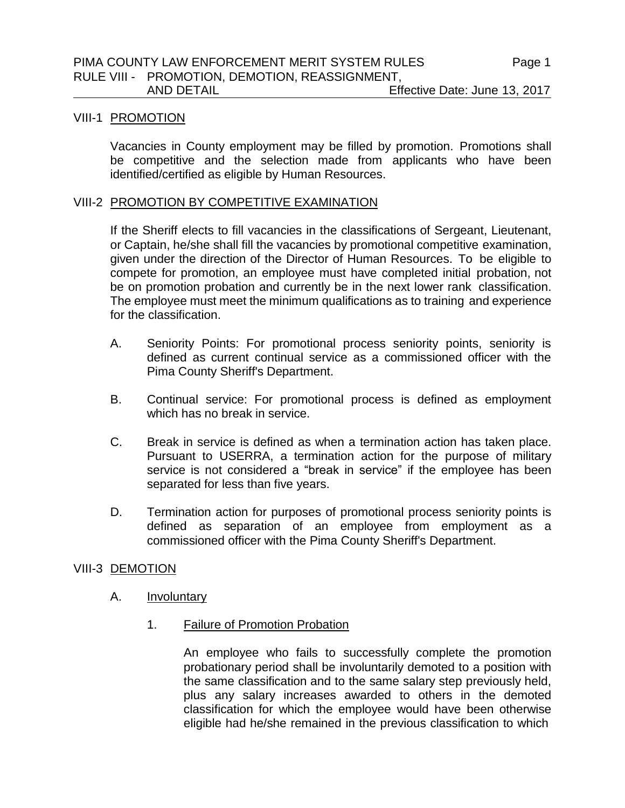# VIII-1 PROMOTION

Vacancies in County employment may be filled by promotion. Promotions shall be competitive and the selection made from applicants who have been identified/certified as eligible by Human Resources.

### VIII-2 PROMOTION BY COMPETITIVE EXAMINATION

If the Sheriff elects to fill vacancies in the classifications of Sergeant, Lieutenant, or Captain, he/she shall fill the vacancies by promotional competitive examination, given under the direction of the Director of Human Resources. To be eligible to compete for promotion, an employee must have completed initial probation, not be on promotion probation and currently be in the next lower rank classification. The employee must meet the minimum qualifications as to training and experience for the classification.

- A. Seniority Points: For promotional process seniority points, seniority is defined as current continual service as a commissioned officer with the Pima County Sheriff's Department.
- B. Continual service: For promotional process is defined as employment which has no break in service.
- C. Break in service is defined as when a termination action has taken place. Pursuant to USERRA, a termination action for the purpose of military service is not considered a "break in service" if the employee has been separated for less than five years.
- D. Termination action for purposes of promotional process seniority points is defined as separation of an employee from employment as a commissioned officer with the Pima County Sheriff's Department.

### VIII-3 DEMOTION

### A. **Involuntary**

1. Failure of Promotion Probation

An employee who fails to successfully complete the promotion probationary period shall be involuntarily demoted to a position with the same classification and to the same salary step previously held, plus any salary increases awarded to others in the demoted classification for which the employee would have been otherwise eligible had he/she remained in the previous classification to which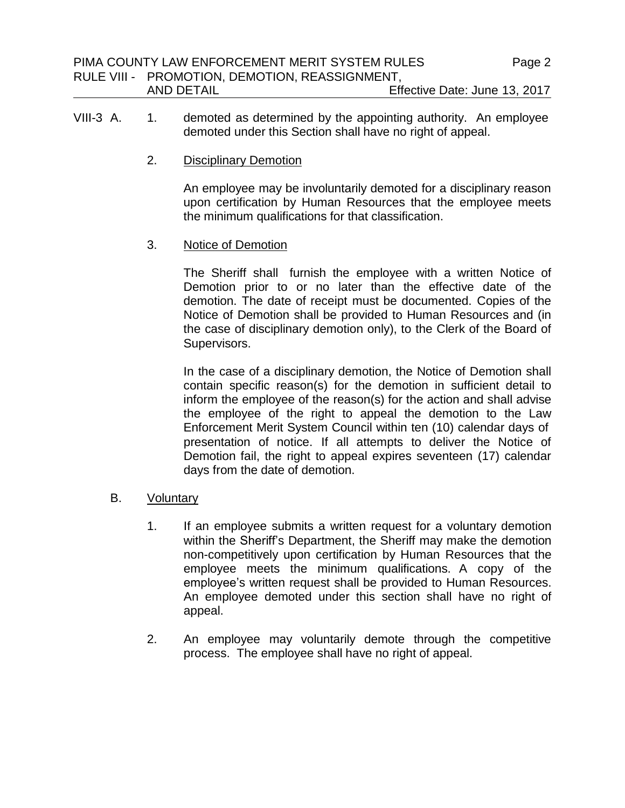- VIII-3 A. 1. demoted as determined by the appointing authority. An employee demoted under this Section shall have no right of appeal.
	- 2. Disciplinary Demotion

An employee may be involuntarily demoted for a disciplinary reason upon certification by Human Resources that the employee meets the minimum qualifications for that classification.

3. Notice of Demotion

The Sheriff shall furnish the employee with a written Notice of Demotion prior to or no later than the effective date of the demotion. The date of receipt must be documented. Copies of the Notice of Demotion shall be provided to Human Resources and (in the case of disciplinary demotion only), to the Clerk of the Board of Supervisors.

In the case of a disciplinary demotion, the Notice of Demotion shall contain specific reason(s) for the demotion in sufficient detail to inform the employee of the reason(s) for the action and shall advise the employee of the right to appeal the demotion to the Law Enforcement Merit System Council within ten (10) calendar days of presentation of notice. If all attempts to deliver the Notice of Demotion fail, the right to appeal expires seventeen (17) calendar days from the date of demotion.

- B. Voluntary
	- 1. If an employee submits a written request for a voluntary demotion within the Sheriff's Department, the Sheriff may make the demotion non-competitively upon certification by Human Resources that the employee meets the minimum qualifications. A copy of the employee's written request shall be provided to Human Resources. An employee demoted under this section shall have no right of appeal.
	- 2. An employee may voluntarily demote through the competitive process. The employee shall have no right of appeal.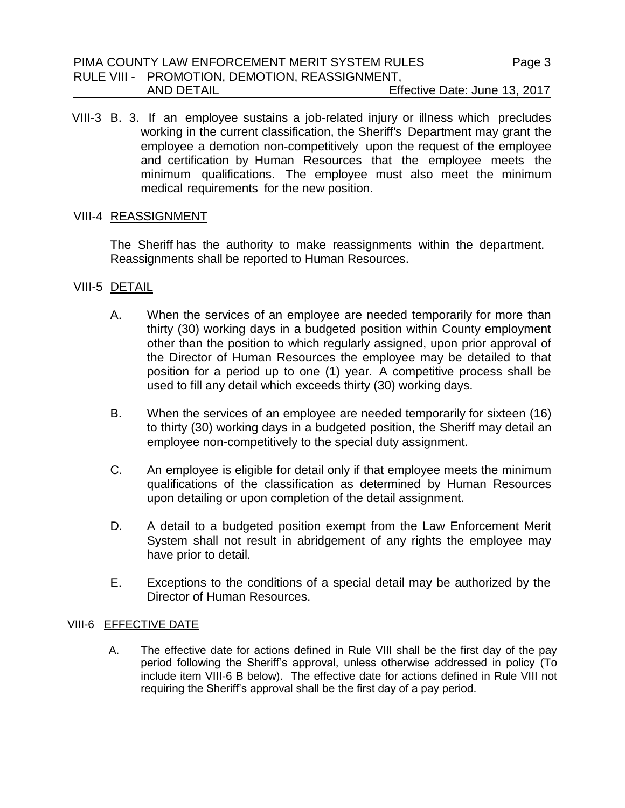### PIMA COUNTY LAW ENFORCEMENT MERIT SYSTEM RULES RULE VIII - PROMOTION, DEMOTION, REASSIGNMENT, AND DETAIL Effective Date: June 13, 2017

VIII-3 B. 3. If an employee sustains a job-related injury or illness which precludes working in the current classification, the Sheriff's Department may grant the employee a demotion non-competitively upon the request of the employee and certification by Human Resources that the employee meets the minimum qualifications. The employee must also meet the minimum medical requirements for the new position.

### VIII-4 REASSIGNMENT

The Sheriff has the authority to make reassignments within the department. Reassignments shall be reported to Human Resources.

### VIII-5 DETAIL

- A. When the services of an employee are needed temporarily for more than thirty (30) working days in a budgeted position within County employment other than the position to which regularly assigned, upon prior approval of the Director of Human Resources the employee may be detailed to that position for a period up to one (1) year. A competitive process shall be used to fill any detail which exceeds thirty (30) working days.
- B. When the services of an employee are needed temporarily for sixteen (16) to thirty (30) working days in a budgeted position, the Sheriff may detail an employee non-competitively to the special duty assignment.
- C. An employee is eligible for detail only if that employee meets the minimum qualifications of the classification as determined by Human Resources upon detailing or upon completion of the detail assignment.
- D. A detail to a budgeted position exempt from the Law Enforcement Merit System shall not result in abridgement of any rights the employee may have prior to detail.
- E. Exceptions to the conditions of a special detail may be authorized by the Director of Human Resources.

#### VIII-6 EFFECTIVE DATE

A. The effective date for actions defined in Rule VIII shall be the first day of the pay period following the Sheriff's approval, unless otherwise addressed in policy (To include item VIII-6 B below).The effective date for actions defined in Rule VIII not requiring the Sheriff's approval shall be the first day of a pay period.